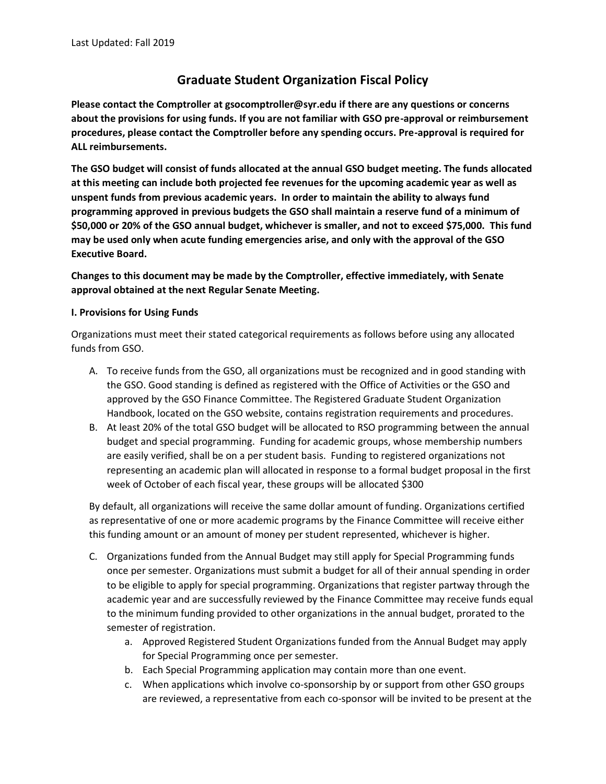# **Graduate Student Organization Fiscal Policy**

**Please contact the Comptroller at gsocomptroller@syr.edu if there are any questions or concerns about the provisions for using funds. If you are not familiar with GSO pre-approval or reimbursement procedures, please contact the Comptroller before any spending occurs. Pre-approval is required for ALL reimbursements.**

**The GSO budget will consist of funds allocated at the annual GSO budget meeting. The funds allocated at this meeting can include both projected fee revenues for the upcoming academic year as well as unspent funds from previous academic years. In order to maintain the ability to always fund programming approved in previous budgets the GSO shall maintain a reserve fund of a minimum of \$50,000 or 20% of the GSO annual budget, whichever is smaller, and not to exceed \$75,000. This fund may be used only when acute funding emergencies arise, and only with the approval of the GSO Executive Board.**

**Changes to this document may be made by the Comptroller, effective immediately, with Senate approval obtained at the next Regular Senate Meeting.**

# **I. Provisions for Using Funds**

Organizations must meet their stated categorical requirements as follows before using any allocated funds from GSO.

- A. To receive funds from the GSO, all organizations must be recognized and in good standing with the GSO. Good standing is defined as registered with the Office of Activities or the GSO and approved by the GSO Finance Committee. The Registered Graduate Student Organization Handbook, located on the GSO website, contains registration requirements and procedures.
- B. At least 20% of the total GSO budget will be allocated to RSO programming between the annual budget and special programming. Funding for academic groups, whose membership numbers are easily verified, shall be on a per student basis. Funding to registered organizations not representing an academic plan will allocated in response to a formal budget proposal in the first week of October of each fiscal year, these groups will be allocated \$300

By default, all organizations will receive the same dollar amount of funding. Organizations certified as representative of one or more academic programs by the Finance Committee will receive either this funding amount or an amount of money per student represented, whichever is higher.

- C. Organizations funded from the Annual Budget may still apply for Special Programming funds once per semester. Organizations must submit a budget for all of their annual spending in order to be eligible to apply for special programming. Organizations that register partway through the academic year and are successfully reviewed by the Finance Committee may receive funds equal to the minimum funding provided to other organizations in the annual budget, prorated to the semester of registration.
	- a. Approved Registered Student Organizations funded from the Annual Budget may apply for Special Programming once per semester.
	- b. Each Special Programming application may contain more than one event.
	- c. When applications which involve co-sponsorship by or support from other GSO groups are reviewed, a representative from each co-sponsor will be invited to be present at the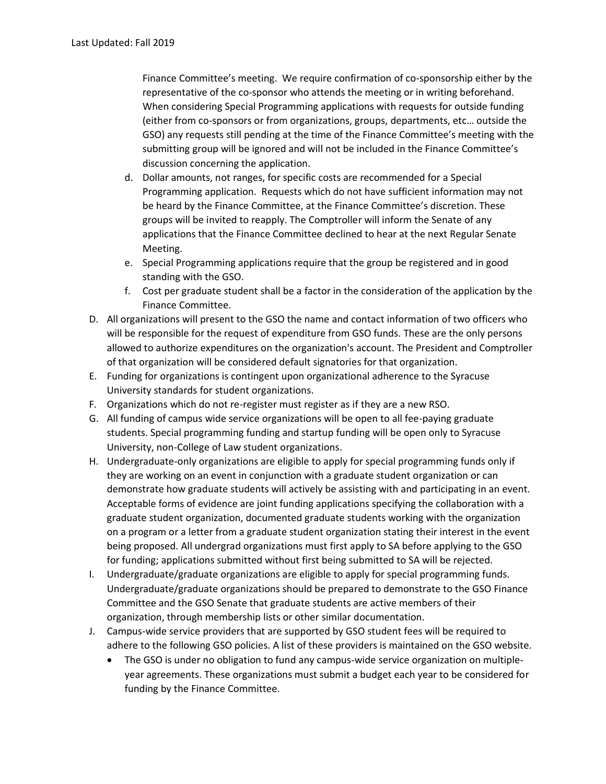Finance Committee's meeting. We require confirmation of co-sponsorship either by the representative of the co-sponsor who attends the meeting or in writing beforehand. When considering Special Programming applications with requests for outside funding (either from co-sponsors or from organizations, groups, departments, etc… outside the GSO) any requests still pending at the time of the Finance Committee's meeting with the submitting group will be ignored and will not be included in the Finance Committee's discussion concerning the application.

- d. Dollar amounts, not ranges, for specific costs are recommended for a Special Programming application. Requests which do not have sufficient information may not be heard by the Finance Committee, at the Finance Committee's discretion. These groups will be invited to reapply. The Comptroller will inform the Senate of any applications that the Finance Committee declined to hear at the next Regular Senate Meeting.
- e. Special Programming applications require that the group be registered and in good standing with the GSO.
- f. Cost per graduate student shall be a factor in the consideration of the application by the Finance Committee.
- D. All organizations will present to the GSO the name and contact information of two officers who will be responsible for the request of expenditure from GSO funds. These are the only persons allowed to authorize expenditures on the organization's account. The President and Comptroller of that organization will be considered default signatories for that organization.
- E. Funding for organizations is contingent upon organizational adherence to the Syracuse University standards for student organizations.
- F. Organizations which do not re-register must register as if they are a new RSO.
- G. All funding of campus wide service organizations will be open to all fee-paying graduate students. Special programming funding and startup funding will be open only to Syracuse University, non-College of Law student organizations.
- H. Undergraduate-only organizations are eligible to apply for special programming funds only if they are working on an event in conjunction with a graduate student organization or can demonstrate how graduate students will actively be assisting with and participating in an event. Acceptable forms of evidence are joint funding applications specifying the collaboration with a graduate student organization, documented graduate students working with the organization on a program or a letter from a graduate student organization stating their interest in the event being proposed. All undergrad organizations must first apply to SA before applying to the GSO for funding; applications submitted without first being submitted to SA will be rejected.
- I. Undergraduate/graduate organizations are eligible to apply for special programming funds. Undergraduate/graduate organizations should be prepared to demonstrate to the GSO Finance Committee and the GSO Senate that graduate students are active members of their organization, through membership lists or other similar documentation.
- J. Campus-wide service providers that are supported by GSO student fees will be required to adhere to the following GSO policies. A list of these providers is maintained on the GSO website.
	- The GSO is under no obligation to fund any campus-wide service organization on multipleyear agreements. These organizations must submit a budget each year to be considered for funding by the Finance Committee.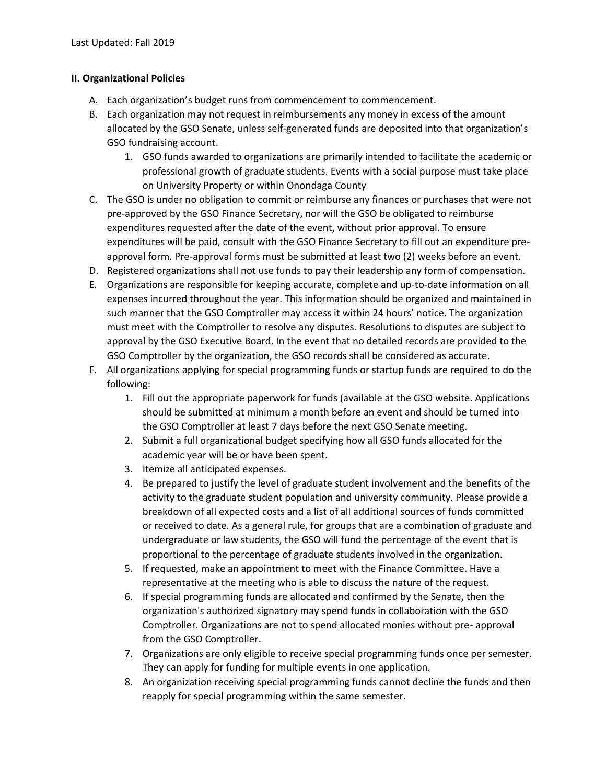# **II. Organizational Policies**

- A. Each organization's budget runs from commencement to commencement.
- B. Each organization may not request in reimbursements any money in excess of the amount allocated by the GSO Senate, unless self-generated funds are deposited into that organization's GSO fundraising account.
	- 1. GSO funds awarded to organizations are primarily intended to facilitate the academic or professional growth of graduate students. Events with a social purpose must take place on University Property or within Onondaga County
- C. The GSO is under no obligation to commit or reimburse any finances or purchases that were not pre-approved by the GSO Finance Secretary, nor will the GSO be obligated to reimburse expenditures requested after the date of the event, without prior approval. To ensure expenditures will be paid, consult with the GSO Finance Secretary to fill out an expenditure preapproval form. Pre-approval forms must be submitted at least two (2) weeks before an event.
- D. Registered organizations shall not use funds to pay their leadership any form of compensation.
- E. Organizations are responsible for keeping accurate, complete and up-to-date information on all expenses incurred throughout the year. This information should be organized and maintained in such manner that the GSO Comptroller may access it within 24 hours' notice. The organization must meet with the Comptroller to resolve any disputes. Resolutions to disputes are subject to approval by the GSO Executive Board. In the event that no detailed records are provided to the GSO Comptroller by the organization, the GSO records shall be considered as accurate.
- F. All organizations applying for special programming funds or startup funds are required to do the following:
	- 1. Fill out the appropriate paperwork for funds (available at the GSO website. Applications should be submitted at minimum a month before an event and should be turned into the GSO Comptroller at least 7 days before the next GSO Senate meeting.
	- 2. Submit a full organizational budget specifying how all GSO funds allocated for the academic year will be or have been spent.
	- 3. Itemize all anticipated expenses.
	- 4. Be prepared to justify the level of graduate student involvement and the benefits of the activity to the graduate student population and university community. Please provide a breakdown of all expected costs and a list of all additional sources of funds committed or received to date. As a general rule, for groups that are a combination of graduate and undergraduate or law students, the GSO will fund the percentage of the event that is proportional to the percentage of graduate students involved in the organization.
	- 5. If requested, make an appointment to meet with the Finance Committee. Have a representative at the meeting who is able to discuss the nature of the request.
	- 6. If special programming funds are allocated and confirmed by the Senate, then the organization's authorized signatory may spend funds in collaboration with the GSO Comptroller. Organizations are not to spend allocated monies without pre- approval from the GSO Comptroller.
	- 7. Organizations are only eligible to receive special programming funds once per semester. They can apply for funding for multiple events in one application.
	- 8. An organization receiving special programming funds cannot decline the funds and then reapply for special programming within the same semester.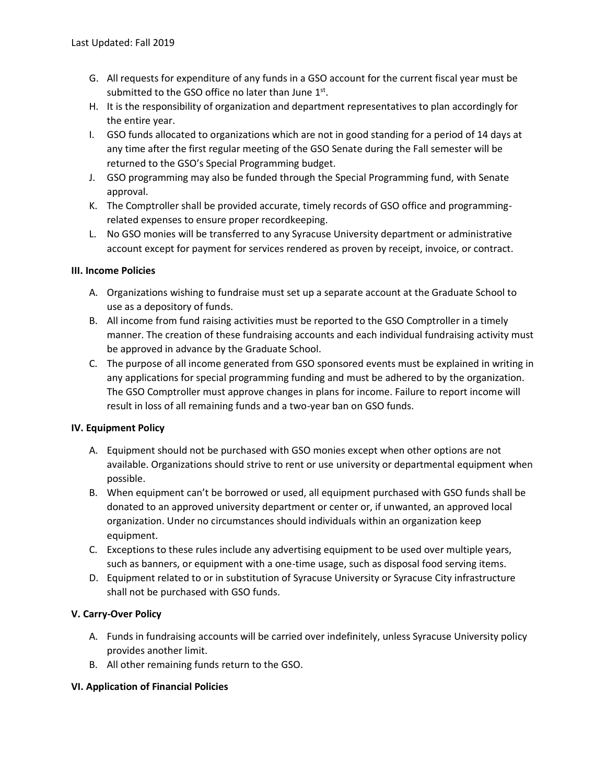- G. All requests for expenditure of any funds in a GSO account for the current fiscal year must be submitted to the GSO office no later than June  $1<sup>st</sup>$ .
- H. It is the responsibility of organization and department representatives to plan accordingly for the entire year.
- I. GSO funds allocated to organizations which are not in good standing for a period of 14 days at any time after the first regular meeting of the GSO Senate during the Fall semester will be returned to the GSO's Special Programming budget.
- J. GSO programming may also be funded through the Special Programming fund, with Senate approval.
- K. The Comptroller shall be provided accurate, timely records of GSO office and programmingrelated expenses to ensure proper recordkeeping.
- L. No GSO monies will be transferred to any Syracuse University department or administrative account except for payment for services rendered as proven by receipt, invoice, or contract.

# **III. Income Policies**

- A. Organizations wishing to fundraise must set up a separate account at the Graduate School to use as a depository of funds.
- B. All income from fund raising activities must be reported to the GSO Comptroller in a timely manner. The creation of these fundraising accounts and each individual fundraising activity must be approved in advance by the Graduate School.
- C. The purpose of all income generated from GSO sponsored events must be explained in writing in any applications for special programming funding and must be adhered to by the organization. The GSO Comptroller must approve changes in plans for income. Failure to report income will result in loss of all remaining funds and a two-year ban on GSO funds.

### **IV. Equipment Policy**

- A. Equipment should not be purchased with GSO monies except when other options are not available. Organizations should strive to rent or use university or departmental equipment when possible.
- B. When equipment can't be borrowed or used, all equipment purchased with GSO funds shall be donated to an approved university department or center or, if unwanted, an approved local organization. Under no circumstances should individuals within an organization keep equipment.
- C. Exceptions to these rules include any advertising equipment to be used over multiple years, such as banners, or equipment with a one-time usage, such as disposal food serving items.
- D. Equipment related to or in substitution of Syracuse University or Syracuse City infrastructure shall not be purchased with GSO funds.

# **V. Carry-Over Policy**

- A. Funds in fundraising accounts will be carried over indefinitely, unless Syracuse University policy provides another limit.
- B. All other remaining funds return to the GSO.

### **VI. Application of Financial Policies**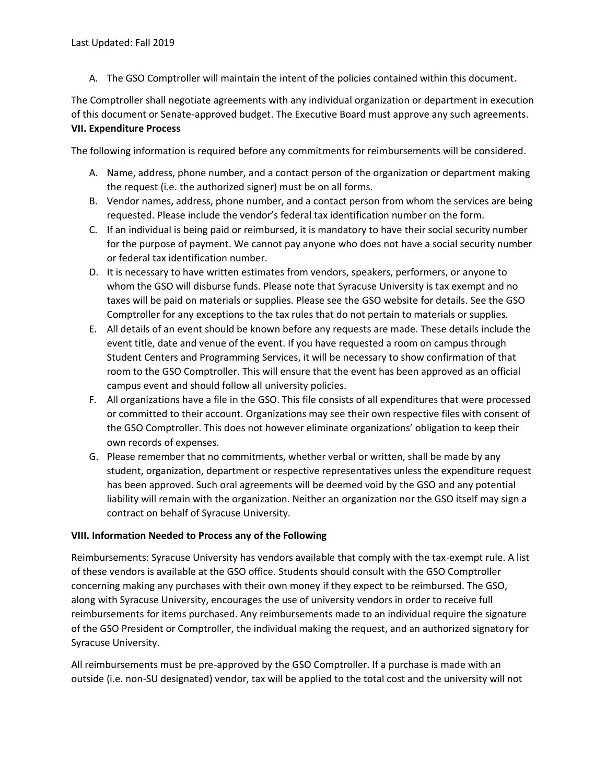A. The GSO Comptroller will maintain the intent of the policies contained within this document**.**

The Comptroller shall negotiate agreements with any individual organization or department in execution of this document or Senate-approved budget. The Executive Board must approve any such agreements. **VII. Expenditure Process**

The following information is required before any commitments for reimbursements will be considered.

- A. Name, address, phone number, and a contact person of the organization or department making the request (i.e. the authorized signer) must be on all forms.
- B. Vendor names, address, phone number, and a contact person from whom the services are being requested. Please include the vendor's federal tax identification number on the form.
- C. If an individual is being paid or reimbursed, it is mandatory to have their social security number for the purpose of payment. We cannot pay anyone who does not have a social security number or federal tax identification number.
- D. It is necessary to have written estimates from vendors, speakers, performers, or anyone to whom the GSO will disburse funds. Please note that Syracuse University is tax exempt and no taxes will be paid on materials or supplies. Please see the GSO website for details. See the GSO Comptroller for any exceptions to the tax rules that do not pertain to materials or supplies.
- E. All details of an event should be known before any requests are made. These details include the event title, date and venue of the event. If you have requested a room on campus through Student Centers and Programming Services, it will be necessary to show confirmation of that room to the GSO Comptroller. This will ensure that the event has been approved as an official campus event and should follow all university policies.
- F. All organizations have a file in the GSO. This file consists of all expenditures that were processed or committed to their account. Organizations may see their own respective files with consent of the GSO Comptroller. This does not however eliminate organizations' obligation to keep their own records of expenses.
- G. Please remember that no commitments, whether verbal or written, shall be made by any student, organization, department or respective representatives unless the expenditure request has been approved. Such oral agreements will be deemed void by the GSO and any potential liability will remain with the organization. Neither an organization nor the GSO itself may sign a contract on behalf of Syracuse University.

### **VIII. Information Needed to Process any of the Following**

Reimbursements: Syracuse University has vendors available that comply with the tax-exempt rule. A list of these vendors is available at the GSO office. Students should consult with the GSO Comptroller concerning making any purchases with their own money if they expect to be reimbursed. The GSO, along with Syracuse University, encourages the use of university vendors in order to receive full reimbursements for items purchased. Any reimbursements made to an individual require the signature of the GSO President or Comptroller, the individual making the request, and an authorized signatory for Syracuse University.

All reimbursements must be pre-approved by the GSO Comptroller. If a purchase is made with an outside (i.e. non-SU designated) vendor, tax will be applied to the total cost and the university will not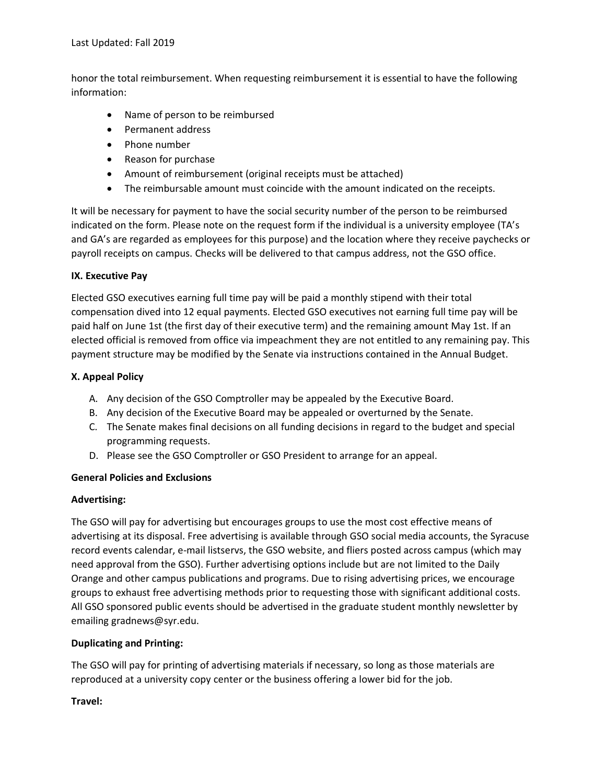honor the total reimbursement. When requesting reimbursement it is essential to have the following information:

- Name of person to be reimbursed
- Permanent address
- Phone number
- Reason for purchase
- Amount of reimbursement (original receipts must be attached)
- The reimbursable amount must coincide with the amount indicated on the receipts.

It will be necessary for payment to have the social security number of the person to be reimbursed indicated on the form. Please note on the request form if the individual is a university employee (TA's and GA's are regarded as employees for this purpose) and the location where they receive paychecks or payroll receipts on campus. Checks will be delivered to that campus address, not the GSO office.

# **IX. Executive Pay**

Elected GSO executives earning full time pay will be paid a monthly stipend with their total compensation dived into 12 equal payments. Elected GSO executives not earning full time pay will be paid half on June 1st (the first day of their executive term) and the remaining amount May 1st. If an elected official is removed from office via impeachment they are not entitled to any remaining pay. This payment structure may be modified by the Senate via instructions contained in the Annual Budget.

# **X. Appeal Policy**

- A. Any decision of the GSO Comptroller may be appealed by the Executive Board.
- B. Any decision of the Executive Board may be appealed or overturned by the Senate.
- C. The Senate makes final decisions on all funding decisions in regard to the budget and special programming requests.
- D. Please see the GSO Comptroller or GSO President to arrange for an appeal.

### **General Policies and Exclusions**

### **Advertising:**

The GSO will pay for advertising but encourages groups to use the most cost effective means of advertising at its disposal. Free advertising is available through GSO social media accounts, the Syracuse record events calendar, e-mail listservs, the GSO website, and fliers posted across campus (which may need approval from the GSO). Further advertising options include but are not limited to the Daily Orange and other campus publications and programs. Due to rising advertising prices, we encourage groups to exhaust free advertising methods prior to requesting those with significant additional costs. All GSO sponsored public events should be advertised in the graduate student monthly newsletter by emailing gradnews@syr.edu.

# **Duplicating and Printing:**

The GSO will pay for printing of advertising materials if necessary, so long as those materials are reproduced at a university copy center or the business offering a lower bid for the job.

# **Travel:**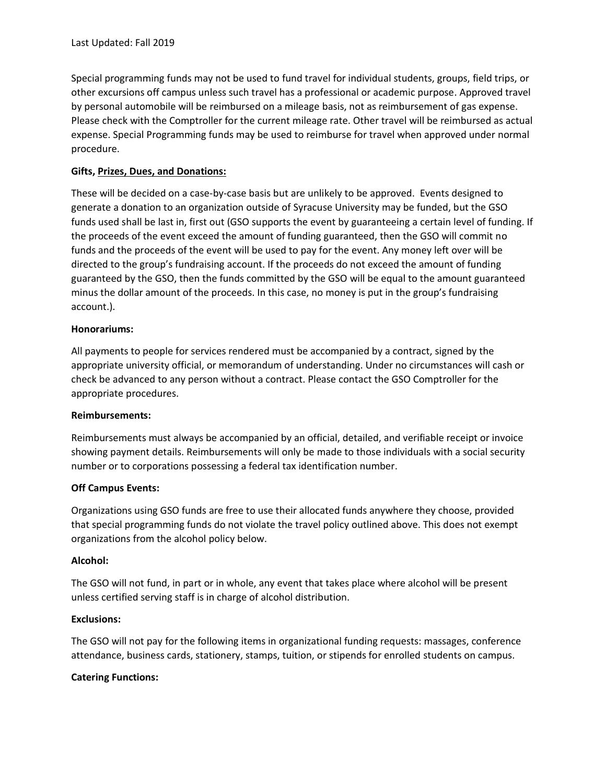Special programming funds may not be used to fund travel for individual students, groups, field trips, or other excursions off campus unless such travel has a professional or academic purpose. Approved travel by personal automobile will be reimbursed on a mileage basis, not as reimbursement of gas expense. Please check with the Comptroller for the current mileage rate. Other travel will be reimbursed as actual expense. Special Programming funds may be used to reimburse for travel when approved under normal procedure.

# **Gifts, Prizes, Dues, and Donations:**

These will be decided on a case-by-case basis but are unlikely to be approved. Events designed to generate a donation to an organization outside of Syracuse University may be funded, but the GSO funds used shall be last in, first out (GSO supports the event by guaranteeing a certain level of funding. If the proceeds of the event exceed the amount of funding guaranteed, then the GSO will commit no funds and the proceeds of the event will be used to pay for the event. Any money left over will be directed to the group's fundraising account. If the proceeds do not exceed the amount of funding guaranteed by the GSO, then the funds committed by the GSO will be equal to the amount guaranteed minus the dollar amount of the proceeds. In this case, no money is put in the group's fundraising account.).

### **Honorariums:**

All payments to people for services rendered must be accompanied by a contract, signed by the appropriate university official, or memorandum of understanding. Under no circumstances will cash or check be advanced to any person without a contract. Please contact the GSO Comptroller for the appropriate procedures.

### **Reimbursements:**

Reimbursements must always be accompanied by an official, detailed, and verifiable receipt or invoice showing payment details. Reimbursements will only be made to those individuals with a social security number or to corporations possessing a federal tax identification number.

### **Off Campus Events:**

Organizations using GSO funds are free to use their allocated funds anywhere they choose, provided that special programming funds do not violate the travel policy outlined above. This does not exempt organizations from the alcohol policy below.

### **Alcohol:**

The GSO will not fund, in part or in whole, any event that takes place where alcohol will be present unless certified serving staff is in charge of alcohol distribution.

### **Exclusions:**

The GSO will not pay for the following items in organizational funding requests: massages, conference attendance, business cards, stationery, stamps, tuition, or stipends for enrolled students on campus.

### **Catering Functions:**